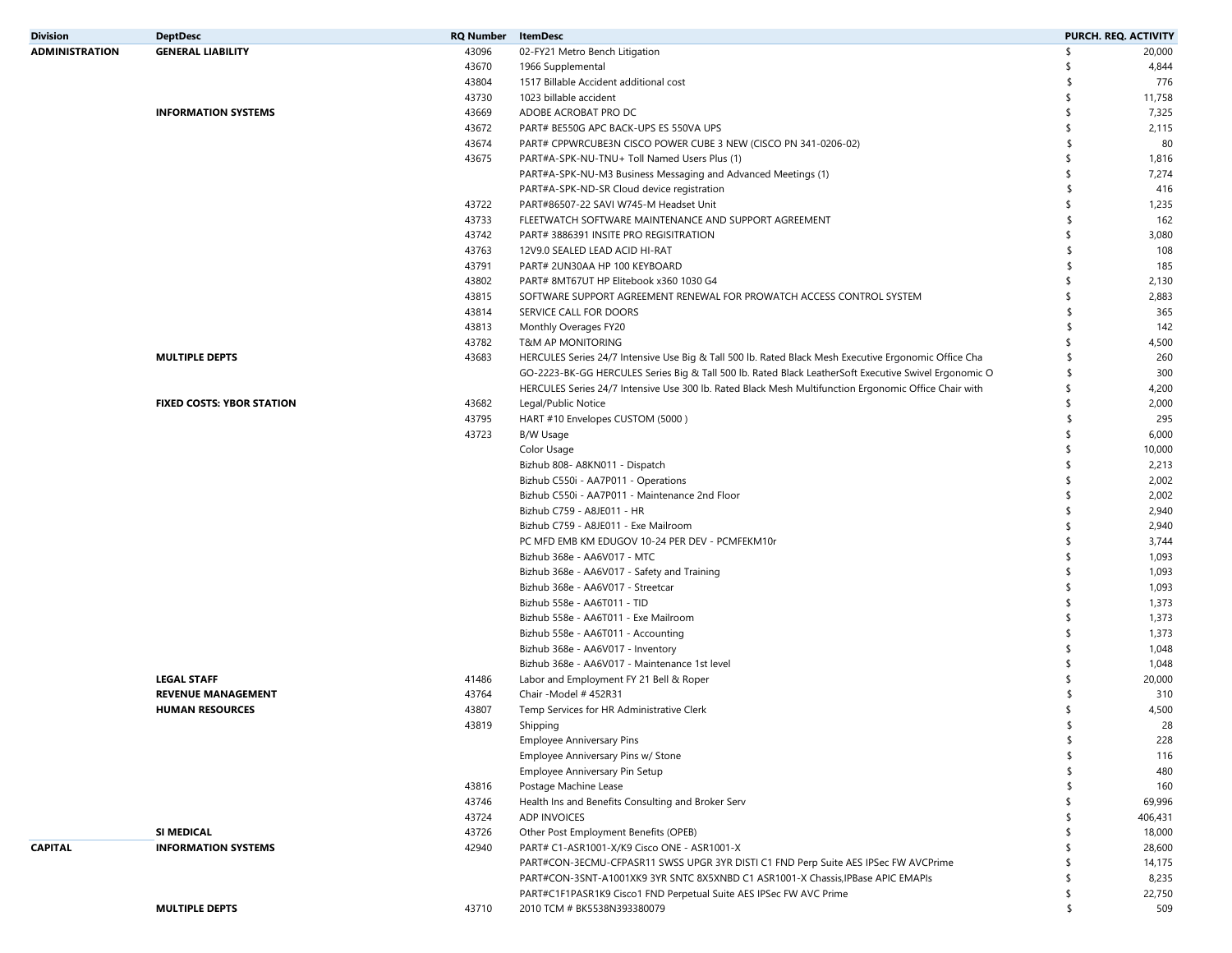| <b>Division</b>       | <b>DeptDesc</b>                  | <b>RQ Number</b> | <b>ItemDesc</b>                                                                                       |               | PURCH. REQ. ACTIVITY |
|-----------------------|----------------------------------|------------------|-------------------------------------------------------------------------------------------------------|---------------|----------------------|
| <b>ADMINISTRATION</b> | <b>GENERAL LIABILITY</b>         | 43096            | 02-FY21 Metro Bench Litigation                                                                        | \$            | 20,000               |
|                       |                                  | 43670            | 1966 Supplemental                                                                                     | \$            | 4,844                |
|                       |                                  | 43804            | 1517 Billable Accident additional cost                                                                | \$            | 776                  |
|                       |                                  | 43730            | 1023 billable accident                                                                                | -\$           | 11,758               |
|                       | <b>INFORMATION SYSTEMS</b>       | 43669            | ADOBE ACROBAT PRO DC                                                                                  | \$            | 7,325                |
|                       |                                  | 43672            | PART# BE550G APC BACK-UPS ES 550VA UPS                                                                | \$            | 2,115                |
|                       |                                  | 43674            | PART# CPPWRCUBE3N CISCO POWER CUBE 3 NEW (CISCO PN 341-0206-02)                                       | $\mathsf{\$}$ | 80                   |
|                       |                                  | 43675            | PART#A-SPK-NU-TNU+ Toll Named Users Plus (1)                                                          | \$            | 1,816                |
|                       |                                  |                  | PART#A-SPK-NU-M3 Business Messaging and Advanced Meetings (1)                                         | \$            | 7,274                |
|                       |                                  |                  | PART#A-SPK-ND-SR Cloud device registration                                                            | \$            | 416                  |
|                       |                                  | 43722            | PART#86507-22 SAVI W745-M Headset Unit                                                                | \$            | 1,235                |
|                       |                                  | 43733            | FLEETWATCH SOFTWARE MAINTENANCE AND SUPPORT AGREEMENT                                                 | \$            | 162                  |
|                       |                                  | 43742            | PART# 3886391 INSITE PRO REGISITRATION                                                                | \$            | 3,080                |
|                       |                                  | 43763            | 12V9.0 SEALED LEAD ACID HI-RAT                                                                        | $\mathsf{\$}$ | 108                  |
|                       |                                  | 43791            | PART# 2UN30AA HP 100 KEYBOARD                                                                         | -\$           | 185                  |
|                       |                                  | 43802            | PART# 8MT67UT HP Elitebook x360 1030 G4                                                               | \$            | 2,130                |
|                       |                                  | 43815            | SOFTWARE SUPPORT AGREEMENT RENEWAL FOR PROWATCH ACCESS CONTROL SYSTEM                                 | \$            | 2,883                |
|                       |                                  | 43814            | SERVICE CALL FOR DOORS                                                                                | $\mathsf{\$}$ | 365                  |
|                       |                                  | 43813            | Monthly Overages FY20                                                                                 | \$            | 142                  |
|                       |                                  | 43782            | <b>T&amp;M AP MONITORING</b>                                                                          | \$            | 4,500                |
|                       | <b>MULTIPLE DEPTS</b>            | 43683            | HERCULES Series 24/7 Intensive Use Big & Tall 500 lb. Rated Black Mesh Executive Ergonomic Office Cha | -\$           | 260                  |
|                       |                                  |                  | GO-2223-BK-GG HERCULES Series Big & Tall 500 lb. Rated Black LeatherSoft Executive Swivel Ergonomic O | S.            | 300                  |
|                       |                                  |                  | HERCULES Series 24/7 Intensive Use 300 lb. Rated Black Mesh Multifunction Ergonomic Office Chair with | \$            | 4,200                |
|                       | <b>FIXED COSTS: YBOR STATION</b> | 43682            | Legal/Public Notice                                                                                   | \$            | 2,000                |
|                       |                                  | 43795            | HART #10 Envelopes CUSTOM (5000)                                                                      | -\$           | 295                  |
|                       |                                  | 43723            | B/W Usage                                                                                             | \$            | 6,000                |
|                       |                                  |                  | Color Usage                                                                                           | \$            | 10,000               |
|                       |                                  |                  | Bizhub 808- A8KN011 - Dispatch                                                                        | \$            | 2,213                |
|                       |                                  |                  | Bizhub C550i - AA7P011 - Operations                                                                   | \$            | 2,002                |
|                       |                                  |                  | Bizhub C550i - AA7P011 - Maintenance 2nd Floor                                                        | \$            | 2,002                |
|                       |                                  |                  | Bizhub C759 - A8JE011 - HR                                                                            | \$            | 2,940                |
|                       |                                  |                  | Bizhub C759 - A8JE011 - Exe Mailroom                                                                  |               | 2,940                |
|                       |                                  |                  | PC MFD EMB KM EDUGOV 10-24 PER DEV - PCMFEKM10r                                                       | \$            | 3,744                |
|                       |                                  |                  | Bizhub 368e - AA6V017 - MTC                                                                           | \$            | 1,093                |
|                       |                                  |                  | Bizhub 368e - AA6V017 - Safety and Training                                                           | \$            | 1,093                |
|                       |                                  |                  | Bizhub 368e - AA6V017 - Streetcar                                                                     | \$            | 1,093                |
|                       |                                  |                  | Bizhub 558e - AA6T011 - TID                                                                           | \$            | 1,373                |
|                       |                                  |                  | Bizhub 558e - AA6T011 - Exe Mailroom                                                                  | \$            | 1,373                |
|                       |                                  |                  | Bizhub 558e - AA6T011 - Accounting                                                                    | \$            | 1,373                |
|                       |                                  |                  | Bizhub 368e - AA6V017 - Inventory                                                                     | -\$           | 1,048                |
|                       |                                  |                  | Bizhub 368e - AA6V017 - Maintenance 1st level                                                         | \$            | 1,048                |
|                       | <b>LEGAL STAFF</b>               | 41486            | Labor and Employment FY 21 Bell & Roper                                                               |               | 20,000               |
|                       | <b>REVENUE MANAGEMENT</b>        | 43764            | Chair - Model # 452R31                                                                                |               | 310                  |
|                       | <b>HUMAN RESOURCES</b>           | 43807            | Temp Services for HR Administrative Clerk                                                             | -\$           | 4,500                |
|                       |                                  | 43819            | Shipping                                                                                              |               | 28                   |
|                       |                                  |                  | <b>Employee Anniversary Pins</b>                                                                      | \$            | 228                  |
|                       |                                  |                  | Employee Anniversary Pins w/ Stone                                                                    | \$            | 116                  |
|                       |                                  |                  | Employee Anniversary Pin Setup                                                                        | -\$           | 480                  |
|                       |                                  | 43816            | Postage Machine Lease                                                                                 | \$            | 160                  |
|                       |                                  | 43746            | Health Ins and Benefits Consulting and Broker Serv                                                    | \$            | 69,996               |
|                       |                                  | 43724            | <b>ADP INVOICES</b>                                                                                   | S             | 406,431              |
|                       | SI MEDICAL                       | 43726            | Other Post Employment Benefits (OPEB)                                                                 | \$.           | 18,000               |
| <b>CAPITAL</b>        | <b>INFORMATION SYSTEMS</b>       | 42940            | PART# C1-ASR1001-X/K9 Cisco ONE - ASR1001-X                                                           | \$            | 28,600               |
|                       |                                  |                  | PART#CON-3ECMU-CFPASR11 SWSS UPGR 3YR DISTI C1 FND Perp Suite AES IPSec FW AVCPrime                   | \$.           | 14,175               |
|                       |                                  |                  | PART#CON-3SNT-A1001XK9 3YR SNTC 8X5XNBD C1 ASR1001-X Chassis, IPBase APIC EMAPIs                      | -\$           | 8,235                |
|                       |                                  |                  | PART#C1F1PASR1K9 Cisco1 FND Perpetual Suite AES IPSec FW AVC Prime                                    | \$            | 22,750               |
|                       | <b>MULTIPLE DEPTS</b>            | 43710            | 2010 TCM # BK5538N393380079                                                                           | \$            | 509                  |
|                       |                                  |                  |                                                                                                       |               |                      |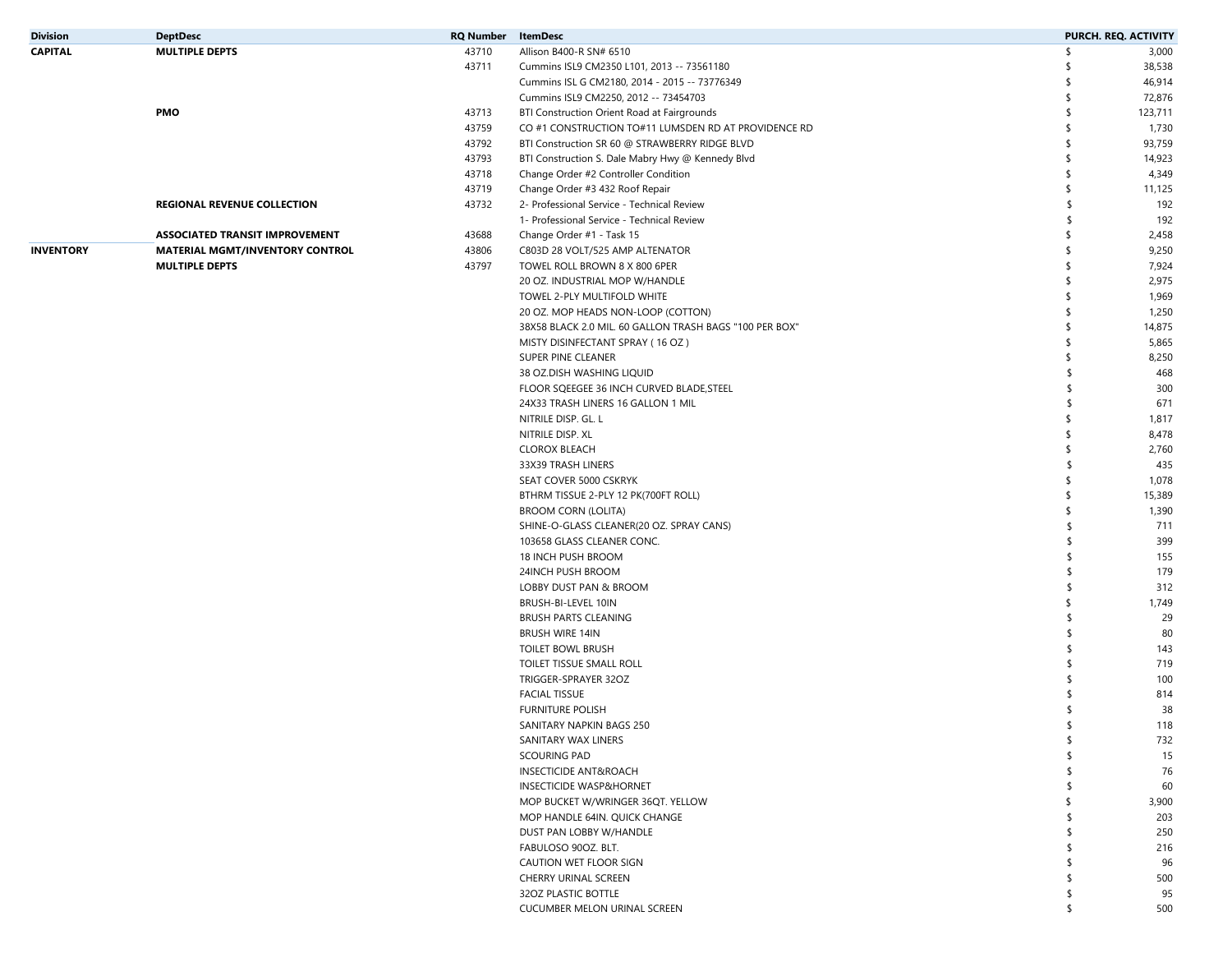| <b>Division</b>  | <b>DeptDesc</b>                        | <b>RQ Number</b> ItemDesc |                                                                        | PURCH. REQ. ACTIVITY |
|------------------|----------------------------------------|---------------------------|------------------------------------------------------------------------|----------------------|
| <b>CAPITAL</b>   | <b>MULTIPLE DEPTS</b>                  | 43710                     | Allison B400-R SN# 6510                                                | \$<br>3,000          |
|                  |                                        | 43711                     | Cummins ISL9 CM2350 L101, 2013 -- 73561180                             | 38,538<br>-\$        |
|                  |                                        |                           | Cummins ISL G CM2180, 2014 - 2015 -- 73776349                          | 46,914<br>\$         |
|                  |                                        |                           | Cummins ISL9 CM2250, 2012 -- 73454703                                  | \$<br>72,876         |
|                  | <b>PMO</b>                             | 43713                     | BTI Construction Orient Road at Fairgrounds                            | \$<br>123,711        |
|                  |                                        | 43759                     | CO #1 CONSTRUCTION TO#11 LUMSDEN RD AT PROVIDENCE RD                   | \$<br>1,730          |
|                  |                                        | 43792                     | BTI Construction SR 60 @ STRAWBERRY RIDGE BLVD                         | \$<br>93,759         |
|                  |                                        | 43793                     | BTI Construction S. Dale Mabry Hwy @ Kennedy Blvd                      | \$<br>14,923         |
|                  |                                        | 43718                     | Change Order #2 Controller Condition                                   | 4,349<br>\$          |
|                  |                                        | 43719                     | Change Order #3 432 Roof Repair                                        | \$<br>11,125         |
|                  | <b>REGIONAL REVENUE COLLECTION</b>     | 43732                     | 2- Professional Service - Technical Review                             | 192<br>\$            |
|                  |                                        |                           | 1- Professional Service - Technical Review                             | \$<br>192            |
|                  | <b>ASSOCIATED TRANSIT IMPROVEMENT</b>  | 43688                     | Change Order #1 - Task 15                                              | 2,458<br>-\$         |
| <b>INVENTORY</b> | <b>MATERIAL MGMT/INVENTORY CONTROL</b> | 43806                     | C803D 28 VOLT/525 AMP ALTENATOR                                        | 9,250<br>-\$         |
|                  | <b>MULTIPLE DEPTS</b>                  | 43797                     | TOWEL ROLL BROWN 8 X 800 6PER                                          | \$<br>7,924          |
|                  |                                        |                           | 20 OZ. INDUSTRIAL MOP W/HANDLE                                         | 2,975<br>\$          |
|                  |                                        |                           | TOWEL 2-PLY MULTIFOLD WHITE                                            | 1,969<br>\$          |
|                  |                                        |                           | 20 OZ. MOP HEADS NON-LOOP (COTTON)                                     | \$<br>1,250          |
|                  |                                        |                           | 38X58 BLACK 2.0 MIL. 60 GALLON TRASH BAGS "100 PER BOX"                | 14,875<br>\$         |
|                  |                                        |                           | MISTY DISINFECTANT SPRAY (16 OZ)                                       | \$<br>5,865          |
|                  |                                        |                           | SUPER PINE CLEANER                                                     | \$<br>8,250          |
|                  |                                        |                           | 38 OZ.DISH WASHING LIQUID                                              | 468<br>\$            |
|                  |                                        |                           | FLOOR SQEEGEE 36 INCH CURVED BLADE, STEEL                              | 300<br>\$.           |
|                  |                                        |                           | 24X33 TRASH LINERS 16 GALLON 1 MIL                                     | 671<br>\$            |
|                  |                                        |                           | NITRILE DISP. GL. L                                                    | 1,817<br>-\$         |
|                  |                                        |                           | NITRILE DISP. XL                                                       | 8,478<br>\$          |
|                  |                                        |                           | <b>CLOROX BLEACH</b>                                                   | 2,760<br>\$          |
|                  |                                        |                           | 33X39 TRASH LINERS                                                     | 435<br>\$            |
|                  |                                        |                           | SEAT COVER 5000 CSKRYK                                                 | \$<br>1,078          |
|                  |                                        |                           |                                                                        | 15,389<br>\$         |
|                  |                                        |                           | BTHRM TISSUE 2-PLY 12 PK(700FT ROLL)                                   | 1,390<br>-\$         |
|                  |                                        |                           | <b>BROOM CORN (LOLITA)</b><br>SHINE-O-GLASS CLEANER(20 OZ. SPRAY CANS) | \$<br>711            |
|                  |                                        |                           | 103658 GLASS CLEANER CONC.                                             | 399<br>\$            |
|                  |                                        |                           | 18 INCH PUSH BROOM                                                     | 155<br>\$            |
|                  |                                        |                           |                                                                        | \$.                  |
|                  |                                        |                           | 24INCH PUSH BROOM                                                      | 179<br>\$            |
|                  |                                        |                           | LOBBY DUST PAN & BROOM                                                 | 312                  |
|                  |                                        |                           | BRUSH-BI-LEVEL 10IN                                                    | 1,749<br>\$          |
|                  |                                        |                           | <b>BRUSH PARTS CLEANING</b>                                            | 29<br>\$             |
|                  |                                        |                           | <b>BRUSH WIRE 14IN</b>                                                 | 80<br>\$             |
|                  |                                        |                           | TOILET BOWL BRUSH                                                      | 143<br>\$            |
|                  |                                        |                           | TOILET TISSUE SMALL ROLL                                               | 719<br>S             |
|                  |                                        |                           | TRIGGER-SPRAYER 32OZ                                                   | 100                  |
|                  |                                        |                           | <b>FACIAL TISSUE</b>                                                   | 814                  |
|                  |                                        |                           | <b>FURNITURE POLISH</b>                                                | 38<br>\$             |
|                  |                                        |                           | SANITARY NAPKIN BAGS 250                                               | 118                  |
|                  |                                        |                           | SANITARY WAX LINERS                                                    | 732<br>\$            |
|                  |                                        |                           | <b>SCOURING PAD</b>                                                    | \$<br>15             |
|                  |                                        |                           | <b>INSECTICIDE ANT&amp;ROACH</b>                                       | 76<br>\$.            |
|                  |                                        |                           | <b>INSECTICIDE WASP&amp;HORNET</b>                                     | 60<br>S              |
|                  |                                        |                           | MOP BUCKET W/WRINGER 36QT. YELLOW                                      | 3,900<br>\$          |
|                  |                                        |                           | MOP HANDLE 64IN. QUICK CHANGE                                          | 203<br>-S            |
|                  |                                        |                           | DUST PAN LOBBY W/HANDLE                                                | 250<br>\$.           |
|                  |                                        |                           | FABULOSO 90OZ. BLT.                                                    | 216<br>\$.           |
|                  |                                        |                           | CAUTION WET FLOOR SIGN                                                 | 96<br>\$.            |
|                  |                                        |                           | CHERRY URINAL SCREEN                                                   | 500<br>\$            |
|                  |                                        |                           | 320Z PLASTIC BOTTLE                                                    | 95<br>S              |
|                  |                                        |                           | CUCUMBER MELON URINAL SCREEN                                           | \$<br>500            |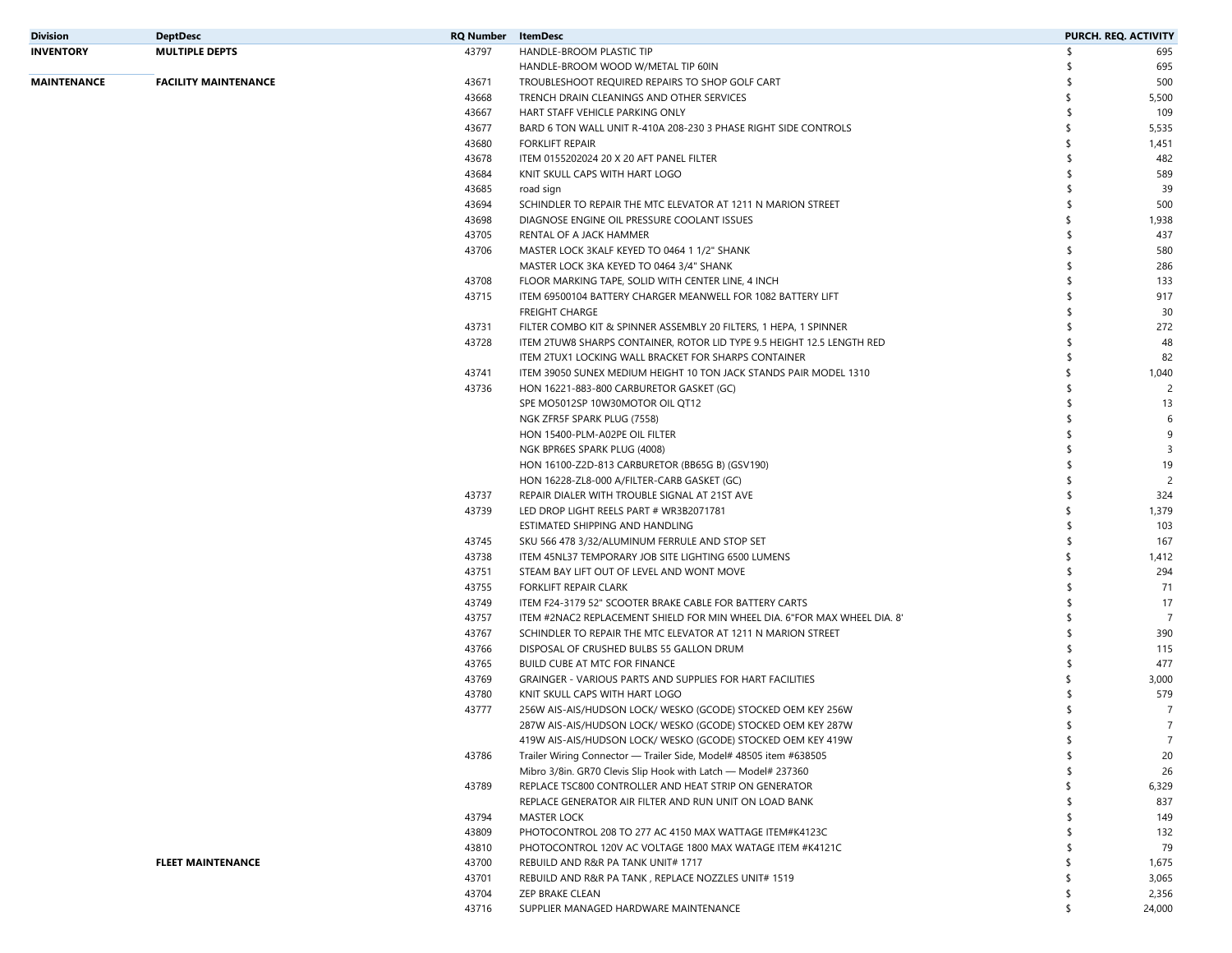| Division    | <b>DeptDesc</b>             | <b>RQ Number</b> | ItemDesc                                                                  | PURCH. REQ. ACTIVITY          |
|-------------|-----------------------------|------------------|---------------------------------------------------------------------------|-------------------------------|
| INVENTORY   | <b>MULTIPLE DEPTS</b>       | 43797            | HANDLE-BROOM PLASTIC TIP                                                  | \$.<br>695                    |
|             |                             |                  | HANDLE-BROOM WOOD W/METAL TIP 60IN                                        | 695                           |
| MAINTENANCE | <b>FACILITY MAINTENANCE</b> | 43671            | TROUBLESHOOT REQUIRED REPAIRS TO SHOP GOLF CART                           | 500                           |
|             |                             | 43668            | TRENCH DRAIN CLEANINGS AND OTHER SERVICES                                 | 5,500                         |
|             |                             | 43667            | HART STAFF VEHICLE PARKING ONLY                                           | \$.<br>109                    |
|             |                             | 43677            | BARD 6 TON WALL UNIT R-410A 208-230 3 PHASE RIGHT SIDE CONTROLS           | \$<br>5,535                   |
|             |                             | 43680            | <b>FORKLIFT REPAIR</b>                                                    | \$<br>1,451                   |
|             |                             | 43678            | ITEM 0155202024 20 X 20 AFT PANEL FILTER                                  | ⊀<br>482                      |
|             |                             | 43684            | KNIT SKULL CAPS WITH HART LOGO                                            | 589<br>\$.                    |
|             |                             | 43685            | road sign                                                                 | 39<br>\$                      |
|             |                             | 43694            | SCHINDLER TO REPAIR THE MTC ELEVATOR AT 1211 N MARION STREET              | 500<br>\$                     |
|             |                             | 43698            | DIAGNOSE ENGINE OIL PRESSURE COOLANT ISSUES                               | 1,938<br>\$.                  |
|             |                             | 43705            | RENTAL OF A JACK HAMMER                                                   | 437<br>\$                     |
|             |                             | 43706            | MASTER LOCK 3KALF KEYED TO 0464 1 1/2" SHANK                              | 580<br>\$                     |
|             |                             |                  | MASTER LOCK 3KA KEYED TO 0464 3/4" SHANK                                  | 286                           |
|             |                             | 43708            | FLOOR MARKING TAPE, SOLID WITH CENTER LINE, 4 INCH                        | 133                           |
|             |                             | 43715            | ITEM 69500104 BATTERY CHARGER MEANWELL FOR 1082 BATTERY LIFT              | 917<br>\$                     |
|             |                             |                  | <b>FREIGHT CHARGE</b>                                                     | 30                            |
|             |                             | 43731            | FILTER COMBO KIT & SPINNER ASSEMBLY 20 FILTERS, 1 HEPA, 1 SPINNER         | 272                           |
|             |                             | 43728            | ITEM 2TUW8 SHARPS CONTAINER, ROTOR LID TYPE 9.5 HEIGHT 12.5 LENGTH RED    | 48<br>\$.                     |
|             |                             |                  | ITEM 2TUX1 LOCKING WALL BRACKET FOR SHARPS CONTAINER                      | ⊀<br>82                       |
|             |                             | 43741            | ITEM 39050 SUNEX MEDIUM HEIGHT 10 TON JACK STANDS PAIR MODEL 1310         | 1,040                         |
|             |                             | 43736            | HON 16221-883-800 CARBURETOR GASKET (GC)                                  | $\overline{c}$<br>S           |
|             |                             |                  | SPE MO5012SP 10W30MOTOR OIL QT12                                          | \$<br>13                      |
|             |                             |                  | NGK ZFR5F SPARK PLUG (7558)                                               | 6                             |
|             |                             |                  |                                                                           | 9                             |
|             |                             |                  | HON 15400-PLM-A02PE OIL FILTER                                            |                               |
|             |                             |                  | NGK BPR6ES SPARK PLUG (4008)                                              | $\overline{\mathbf{3}}$<br>\$ |
|             |                             |                  | HON 16100-Z2D-813 CARBURETOR (BB65G B) (GSV190)                           | 19                            |
|             |                             |                  | HON 16228-ZL8-000 A/FILTER-CARB GASKET (GC)                               | $\overline{c}$                |
|             |                             | 43737            | REPAIR DIALER WITH TROUBLE SIGNAL AT 21ST AVE                             | 324                           |
|             |                             | 43739            | LED DROP LIGHT REELS PART # WR3B2071781                                   | 1,379<br>\$                   |
|             |                             |                  | ESTIMATED SHIPPING AND HANDLING                                           | 103<br>\$.                    |
|             |                             | 43745            | SKU 566 478 3/32/ALUMINUM FERRULE AND STOP SET                            | ⊀<br>167                      |
|             |                             | 43738            | ITEM 45NL37 TEMPORARY JOB SITE LIGHTING 6500 LUMENS                       | 1,412<br>\$                   |
|             |                             | 43751            | STEAM BAY LIFT OUT OF LEVEL AND WONT MOVE                                 | 294<br>\$                     |
|             |                             | 43755            | FORKLIFT REPAIR CLARK                                                     | 71                            |
|             |                             | 43749            | ITEM F24-3179 52" SCOOTER BRAKE CABLE FOR BATTERY CARTS                   | 17                            |
|             |                             | 43757            | ITEM #2NAC2 REPLACEMENT SHIELD FOR MIN WHEEL DIA. 6"FOR MAX WHEEL DIA. 8" | $\overline{7}$<br>⊀           |
|             |                             | 43767            | SCHINDLER TO REPAIR THE MTC ELEVATOR AT 1211 N MARION STREET              | 390                           |
|             |                             | 43766            | DISPOSAL OF CRUSHED BULBS 55 GALLON DRUM                                  | 115                           |
|             |                             | 43765            | BUILD CUBE AT MTC FOR FINANCE                                             | 477                           |
|             |                             | 43769            | GRAINGER - VARIOUS PARTS AND SUPPLIES FOR HART FACILITIES                 | 3,000                         |
|             |                             | 43780            | KNIT SKULL CAPS WITH HART LOGO                                            | 579                           |
|             |                             | 43777            | 256W AIS-AIS/HUDSON LOCK/ WESKO (GCODE) STOCKED OEM KEY 256W              | $\overline{7}$                |
|             |                             |                  | 287W AIS-AIS/HUDSON LOCK/ WESKO (GCODE) STOCKED OEM KEY 287W              | $\overline{7}$<br>\$          |
|             |                             |                  | 419W AIS-AIS/HUDSON LOCK/ WESKO (GCODE) STOCKED OEM KEY 419W              | $\overline{7}$<br>\$          |
|             |                             | 43786            | Trailer Wiring Connector - Trailer Side, Model# 48505 item #638505        | 20                            |
|             |                             |                  | Mibro 3/8in. GR70 Clevis Slip Hook with Latch - Model# 237360             | 26                            |
|             |                             | 43789            | REPLACE TSC800 CONTROLLER AND HEAT STRIP ON GENERATOR                     | 6,329                         |
|             |                             |                  | REPLACE GENERATOR AIR FILTER AND RUN UNIT ON LOAD BANK                    | 837                           |
|             |                             | 43794            | <b>MASTER LOCK</b>                                                        | 149                           |
|             |                             | 43809            | PHOTOCONTROL 208 TO 277 AC 4150 MAX WATTAGE ITEM#K4123C                   | 132                           |
|             |                             | 43810            | PHOTOCONTROL 120V AC VOLTAGE 1800 MAX WATAGE ITEM #K4121C                 | 79                            |
|             | <b>FLEET MAINTENANCE</b>    | 43700            | REBUILD AND R&R PA TANK UNIT# 1717                                        | 1,675                         |
|             |                             | 43701            | REBUILD AND R&R PA TANK, REPLACE NOZZLES UNIT# 1519                       | 3,065                         |
|             |                             | 43704            | ZEP BRAKE CLEAN                                                           | 2,356<br>\$                   |
|             |                             | 43716            | SUPPLIER MANAGED HARDWARE MAINTENANCE                                     | 24,000<br>\$                  |
|             |                             |                  |                                                                           |                               |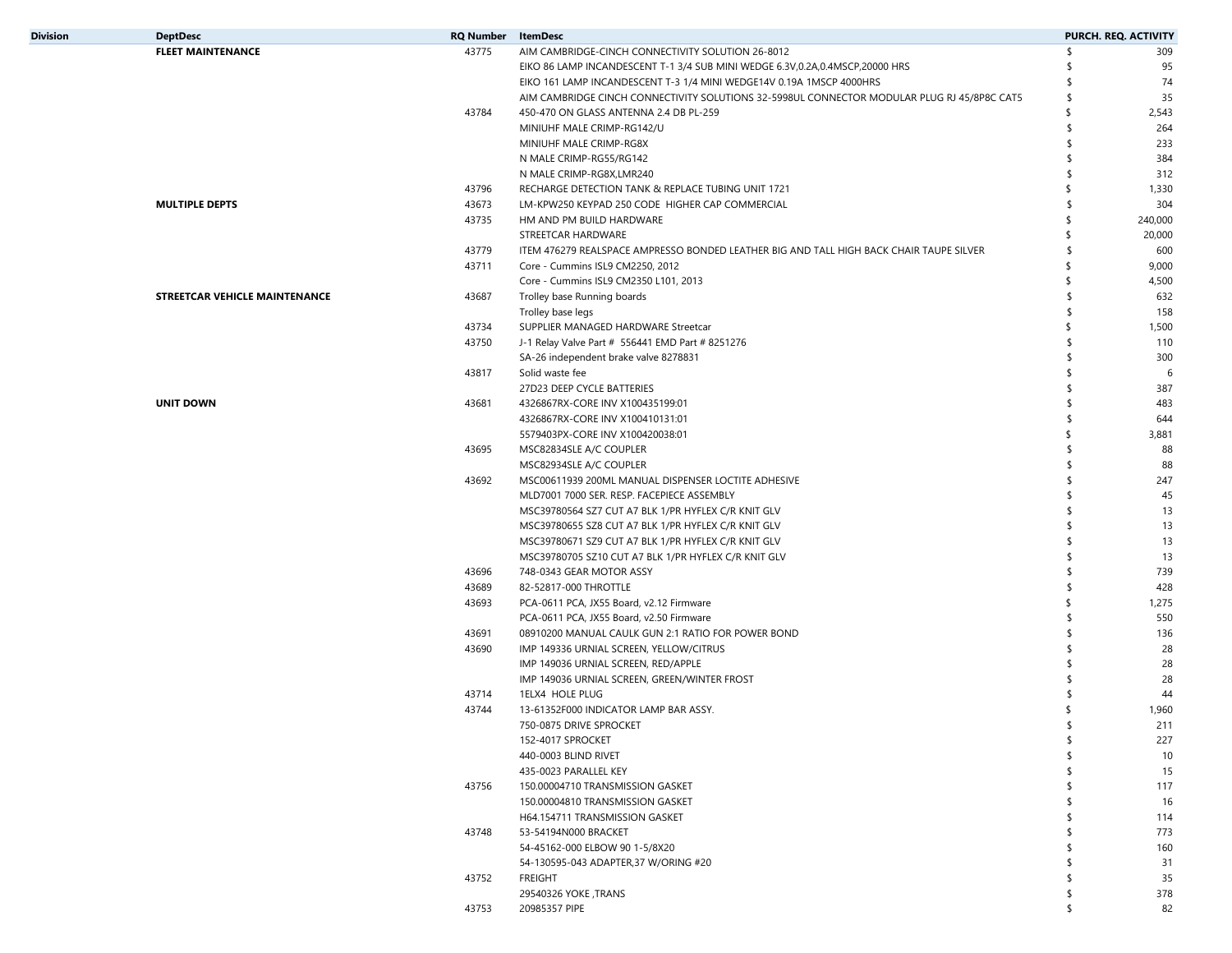| <b>Division</b> | <b>DeptDesc</b>               | <b>RQ Number</b> ItemDesc |                                                                                             |     | PURCH. REQ. ACTIVITY |
|-----------------|-------------------------------|---------------------------|---------------------------------------------------------------------------------------------|-----|----------------------|
|                 | <b>FLEET MAINTENANCE</b>      | 43775                     | AIM CAMBRIDGE-CINCH CONNECTIVITY SOLUTION 26-8012                                           | \$  | 309                  |
|                 |                               |                           | EIKO 86 LAMP INCANDESCENT T-1 3/4 SUB MINI WEDGE 6.3V,0.2A,0.4MSCP,20000 HRS                |     | 95                   |
|                 |                               |                           | EIKO 161 LAMP INCANDESCENT T-3 1/4 MINI WEDGE14V 0.19A 1MSCP 4000HRS                        |     | 74                   |
|                 |                               |                           | AIM CAMBRIDGE CINCH CONNECTIVITY SOLUTIONS 32-5998UL CONNECTOR MODULAR PLUG RJ 45/8P8C CAT5 | \$. | 35                   |
|                 |                               | 43784                     | 450-470 ON GLASS ANTENNA 2.4 DB PL-259                                                      | \$  | 2,543                |
|                 |                               |                           | MINIUHF MALE CRIMP-RG142/U                                                                  | ¢   | 264                  |
|                 |                               |                           | MINIUHF MALE CRIMP-RG8X                                                                     |     | 233                  |
|                 |                               |                           | N MALE CRIMP-RG55/RG142                                                                     |     | 384                  |
|                 |                               |                           | N MALE CRIMP-RG8X, LMR240                                                                   |     | 312                  |
|                 |                               | 43796                     | RECHARGE DETECTION TANK & REPLACE TUBING UNIT 1721                                          | S   | 1,330                |
|                 | <b>MULTIPLE DEPTS</b>         | 43673                     | LM-KPW250 KEYPAD 250 CODE HIGHER CAP COMMERCIAL                                             | \$. | 304                  |
|                 |                               | 43735                     | HM AND PM BUILD HARDWARE                                                                    | Ŝ   | 240,000              |
|                 |                               |                           | STREETCAR HARDWARE                                                                          | \$  | 20,000               |
|                 |                               | 43779                     | ITEM 476279 REALSPACE AMPRESSO BONDED LEATHER BIG AND TALL HIGH BACK CHAIR TAUPE SILVER     | \$  | 600                  |
|                 |                               | 43711                     | Core - Cummins ISL9 CM2250, 2012                                                            | S.  | 9,000                |
|                 |                               |                           | Core - Cummins ISL9 CM2350 L101, 2013                                                       | \$  | 4,500                |
|                 | STREETCAR VEHICLE MAINTENANCE | 43687                     | Trolley base Running boards                                                                 | \$  | 632                  |
|                 |                               |                           | Trolley base legs                                                                           | \$  | 158                  |
|                 |                               | 43734                     | SUPPLIER MANAGED HARDWARE Streetcar                                                         | \$  | 1,500                |
|                 |                               | 43750                     | J-1 Relay Valve Part # 556441 EMD Part # 8251276                                            |     | 110                  |
|                 |                               |                           |                                                                                             | \$  | 300                  |
|                 |                               | 43817                     | SA-26 independent brake valve 8278831<br>Solid waste fee                                    |     | 6                    |
|                 |                               |                           | 27D23 DEEP CYCLE BATTERIES                                                                  |     | 387                  |
|                 | <b>UNIT DOWN</b>              | 43681                     | 4326867RX-CORE INV X100435199:01                                                            |     | 483                  |
|                 |                               |                           | 4326867RX-CORE INV X100410131:01                                                            |     | 644                  |
|                 |                               |                           |                                                                                             | S   | 3,881                |
|                 |                               | 43695                     | 5579403PX-CORE INV X100420038:01<br>MSC82834SLE A/C COUPLER                                 |     | 88                   |
|                 |                               |                           |                                                                                             |     | 88                   |
|                 |                               | 43692                     | MSC82934SLE A/C COUPLER                                                                     | \$  | 247                  |
|                 |                               |                           | MSC00611939 200ML MANUAL DISPENSER LOCTITE ADHESIVE                                         |     |                      |
|                 |                               |                           | MLD7001 7000 SER. RESP. FACEPIECE ASSEMBLY                                                  |     | 45                   |
|                 |                               |                           | MSC39780564 SZ7 CUT A7 BLK 1/PR HYFLEX C/R KNIT GLV                                         |     | 13                   |
|                 |                               |                           | MSC39780655 SZ8 CUT A7 BLK 1/PR HYFLEX C/R KNIT GLV                                         |     | 13                   |
|                 |                               |                           | MSC39780671 SZ9 CUT A7 BLK 1/PR HYFLEX C/R KNIT GLV                                         |     | 13                   |
|                 |                               |                           | MSC39780705 SZ10 CUT A7 BLK 1/PR HYFLEX C/R KNIT GLV                                        |     | 13                   |
|                 |                               | 43696                     | 748-0343 GEAR MOTOR ASSY                                                                    |     | 739                  |
|                 |                               | 43689                     | 82-52817-000 THROTTLE                                                                       |     | 428                  |
|                 |                               | 43693                     | PCA-0611 PCA, JX55 Board, v2.12 Firmware                                                    | S   | 1,275                |
|                 |                               |                           | PCA-0611 PCA, JX55 Board, v2.50 Firmware                                                    | S   | 550                  |
|                 |                               | 43691                     | 08910200 MANUAL CAULK GUN 2:1 RATIO FOR POWER BOND                                          |     | 136                  |
|                 |                               | 43690                     | IMP 149336 URNIAL SCREEN, YELLOW/CITRUS                                                     |     | 28                   |
|                 |                               |                           | IMP 149036 URNIAL SCREEN, RED/APPLE                                                         |     | 28                   |
|                 |                               |                           | IMP 149036 URNIAL SCREEN, GREEN/WINTER FROST                                                |     | 28                   |
|                 |                               | 43714                     | 1ELX4 HOLE PLUG                                                                             |     | 44                   |
|                 |                               | 43744                     | 13-61352F000 INDICATOR LAMP BAR ASSY.                                                       |     | 1,960                |
|                 |                               |                           | 750-0875 DRIVE SPROCKET                                                                     |     | 211                  |
|                 |                               |                           | 152-4017 SPROCKET                                                                           | \$  | 227                  |
|                 |                               |                           | 440-0003 BLIND RIVET                                                                        | \$  | 10                   |
|                 |                               |                           | 435-0023 PARALLEL KEY                                                                       | \$  | 15                   |
|                 |                               | 43756                     | 150.00004710 TRANSMISSION GASKET                                                            | ٩   | 117                  |
|                 |                               |                           | 150.00004810 TRANSMISSION GASKET                                                            |     | 16                   |
|                 |                               |                           | H64.154711 TRANSMISSION GASKET                                                              |     | 114                  |
|                 |                               | 43748                     | 53-54194N000 BRACKET                                                                        | \$  | 773                  |
|                 |                               |                           | 54-45162-000 ELBOW 90 1-5/8X20                                                              | \$  | 160                  |
|                 |                               |                           | 54-130595-043 ADAPTER, 37 W/ORING #20                                                       | \$  | 31                   |
|                 |                               | 43752                     | <b>FREIGHT</b>                                                                              | \$  | 35                   |
|                 |                               |                           | 29540326 YOKE, TRANS                                                                        | S   | 378                  |
|                 |                               | 43753                     | 20985357 PIPE                                                                               | \$  | 82                   |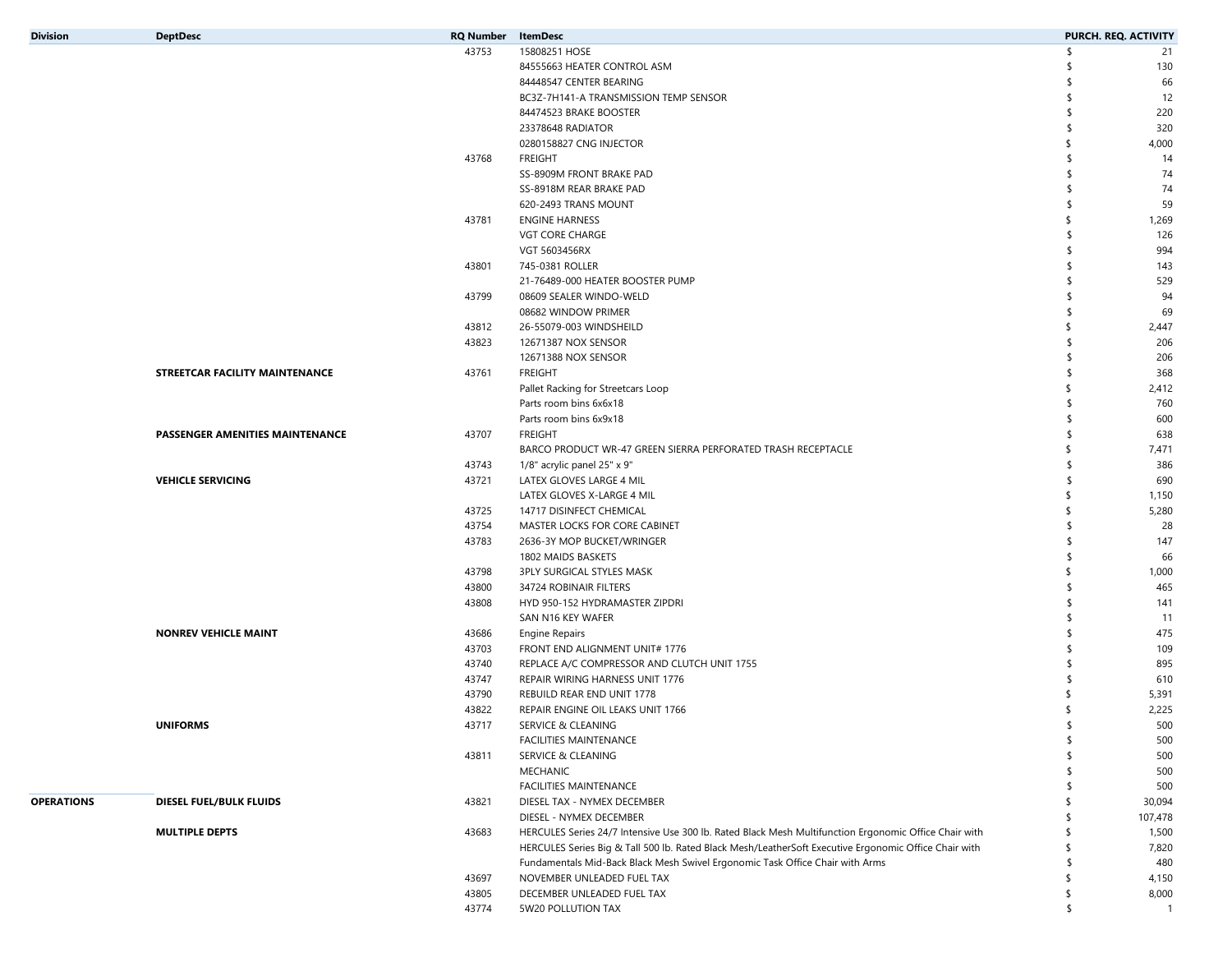| <b>Division</b>   | <b>DeptDesc</b>                 | <b>RQ Number</b> ItemDesc |                                                                                                       |           | PURCH. REQ. ACTIVITY |
|-------------------|---------------------------------|---------------------------|-------------------------------------------------------------------------------------------------------|-----------|----------------------|
|                   |                                 | 43753                     | 15808251 HOSE                                                                                         | ՝ \$      | 21                   |
|                   |                                 |                           | 84555663 HEATER CONTROL ASM                                                                           | \$        | 130                  |
|                   |                                 |                           | 84448547 CENTER BEARING                                                                               |           | 66                   |
|                   |                                 |                           | BC3Z-7H141-A TRANSMISSION TEMP SENSOR                                                                 | -\$       | 12                   |
|                   |                                 |                           | 84474523 BRAKE BOOSTER                                                                                | \$        | 220                  |
|                   |                                 |                           | 23378648 RADIATOR                                                                                     | \$.       | 320                  |
|                   |                                 |                           | 0280158827 CNG INJECTOR                                                                               | \$        | 4,000                |
|                   |                                 | 43768                     | <b>FREIGHT</b>                                                                                        | \$        | 14                   |
|                   |                                 |                           | SS-8909M FRONT BRAKE PAD                                                                              |           | 74                   |
|                   |                                 |                           | SS-8918M REAR BRAKE PAD                                                                               | \$.       | 74                   |
|                   |                                 |                           | 620-2493 TRANS MOUNT                                                                                  | \$        | 59                   |
|                   |                                 | 43781                     | <b>ENGINE HARNESS</b>                                                                                 |           | 1,269                |
|                   |                                 |                           | VGT CORE CHARGE                                                                                       | -\$       | 126                  |
|                   |                                 |                           | VGT 5603456RX                                                                                         | \$        | 994                  |
|                   |                                 | 43801                     | 745-0381 ROLLER                                                                                       | \$.       | 143                  |
|                   |                                 |                           | 21-76489-000 HEATER BOOSTER PUMP                                                                      | \$.       | 529                  |
|                   |                                 | 43799                     | 08609 SEALER WINDO-WELD                                                                               | \$.       | 94                   |
|                   |                                 |                           | 08682 WINDOW PRIMER                                                                                   | \$        | 69                   |
|                   |                                 | 43812                     | 26-55079-003 WINDSHEILD                                                                               |           | 2,447                |
|                   |                                 | 43823                     | 12671387 NOX SENSOR                                                                                   | \$        | 206                  |
|                   |                                 |                           | 12671388 NOX SENSOR                                                                                   | \$.       | 206                  |
|                   | STREETCAR FACILITY MAINTENANCE  | 43761                     | <b>FREIGHT</b>                                                                                        | \$.       | 368                  |
|                   |                                 |                           | Pallet Racking for Streetcars Loop                                                                    | \$        | 2,412                |
|                   |                                 |                           | Parts room bins 6x6x18                                                                                | \$.       | 760                  |
|                   |                                 |                           | Parts room bins 6x9x18                                                                                | \$        | 600                  |
|                   | PASSENGER AMENITIES MAINTENANCE | 43707                     | <b>FREIGHT</b>                                                                                        | \$.       | 638                  |
|                   |                                 |                           | BARCO PRODUCT WR-47 GREEN SIERRA PERFORATED TRASH RECEPTACLE                                          | \$        | 7,471                |
|                   |                                 | 43743                     | 1/8" acrylic panel 25" x 9"                                                                           | \$        | 386                  |
|                   | <b>VEHICLE SERVICING</b>        | 43721                     | LATEX GLOVES LARGE 4 MIL                                                                              | -\$       | 690                  |
|                   |                                 |                           |                                                                                                       |           |                      |
|                   |                                 | 43725                     | LATEX GLOVES X-LARGE 4 MIL                                                                            | \$        | 1,150                |
|                   |                                 | 43754                     | 14717 DISINFECT CHEMICAL<br>MASTER LOCKS FOR CORE CABINET                                             | \$.       | 5,280<br>28          |
|                   |                                 |                           |                                                                                                       | \$.       |                      |
|                   |                                 | 43783                     | 2636-3Y MOP BUCKET/WRINGER                                                                            | \$        | 147                  |
|                   |                                 |                           | 1802 MAIDS BASKETS                                                                                    |           | 66                   |
|                   |                                 | 43798                     | 3PLY SURGICAL STYLES MASK                                                                             |           | 1,000                |
|                   |                                 | 43800                     | 34724 ROBINAIR FILTERS                                                                                | \$.<br>\$ | 465                  |
|                   |                                 | 43808                     | HYD 950-152 HYDRAMASTER ZIPDRI                                                                        |           | 141                  |
|                   |                                 |                           | SAN N16 KEY WAFER                                                                                     |           | 11                   |
|                   | <b>NONREV VEHICLE MAINT</b>     | 43686                     | <b>Engine Repairs</b>                                                                                 | \$        | 475                  |
|                   |                                 | 43703                     | FRONT END ALIGNMENT UNIT# 1776                                                                        | \$.       | 109                  |
|                   |                                 | 43740                     | REPLACE A/C COMPRESSOR AND CLUTCH UNIT 1755                                                           |           | 895                  |
|                   |                                 | 43747                     | REPAIR WIRING HARNESS UNIT 1776                                                                       |           | 610                  |
|                   |                                 | 43790                     | REBUILD REAR END UNIT 1778                                                                            |           | 5,391                |
|                   |                                 | 43822                     | REPAIR ENGINE OIL LEAKS UNIT 1766                                                                     |           | 2,225                |
|                   | <b>UNIFORMS</b>                 | 43717                     | SERVICE & CLEANING                                                                                    |           | 500                  |
|                   |                                 |                           | FACILITIES MAINTENANCE                                                                                | \$        | 500                  |
|                   |                                 | 43811                     | <b>SERVICE &amp; CLEANING</b>                                                                         | \$        | 500                  |
|                   |                                 |                           | MECHANIC                                                                                              |           | 500                  |
|                   |                                 |                           | FACILITIES MAINTENANCE                                                                                |           | 500                  |
| <b>OPERATIONS</b> | DIESEL FUEL/BULK FLUIDS         | 43821                     | DIESEL TAX - NYMEX DECEMBER                                                                           |           | 30,094               |
|                   |                                 |                           | DIESEL - NYMEX DECEMBER                                                                               |           | 107,478              |
|                   | <b>MULTIPLE DEPTS</b>           | 43683                     | HERCULES Series 24/7 Intensive Use 300 lb. Rated Black Mesh Multifunction Ergonomic Office Chair with |           | 1,500                |
|                   |                                 |                           | HERCULES Series Big & Tall 500 lb. Rated Black Mesh/LeatherSoft Executive Ergonomic Office Chair with | \$.       | 7,820                |
|                   |                                 |                           | Fundamentals Mid-Back Black Mesh Swivel Ergonomic Task Office Chair with Arms                         | \$.       | 480                  |
|                   |                                 | 43697                     | NOVEMBER UNLEADED FUEL TAX                                                                            | \$        | 4,150                |
|                   |                                 | 43805                     | DECEMBER UNLEADED FUEL TAX                                                                            | \$        | 8,000                |
|                   |                                 | 43774                     | 5W20 POLLUTION TAX                                                                                    | \$        | $\overline{1}$       |
|                   |                                 |                           |                                                                                                       |           |                      |